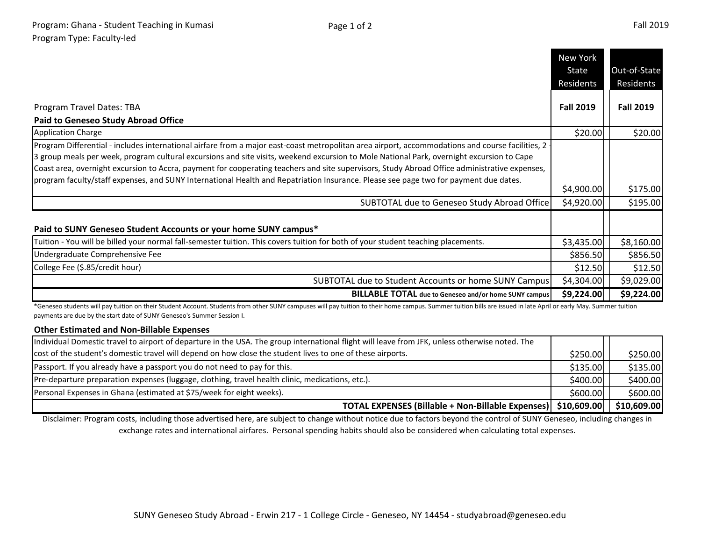|                                                                                                                                                                                                                                                                                                                                                                                                                                                                                                                                                                                          | New York         |                  |
|------------------------------------------------------------------------------------------------------------------------------------------------------------------------------------------------------------------------------------------------------------------------------------------------------------------------------------------------------------------------------------------------------------------------------------------------------------------------------------------------------------------------------------------------------------------------------------------|------------------|------------------|
|                                                                                                                                                                                                                                                                                                                                                                                                                                                                                                                                                                                          | State            | Out-of-State     |
|                                                                                                                                                                                                                                                                                                                                                                                                                                                                                                                                                                                          | Residents        | Residents        |
| Program Travel Dates: TBA<br><b>Paid to Geneseo Study Abroad Office</b>                                                                                                                                                                                                                                                                                                                                                                                                                                                                                                                  | <b>Fall 2019</b> | <b>Fall 2019</b> |
| <b>Application Charge</b>                                                                                                                                                                                                                                                                                                                                                                                                                                                                                                                                                                | \$20.00          | \$20.00          |
| Program Differential - includes international airfare from a major east-coast metropolitan area airport, accommodations and course facilities, 2 -<br>3 group meals per week, program cultural excursions and site visits, weekend excursion to Mole National Park, overnight excursion to Cape<br>Coast area, overnight excursion to Accra, payment for cooperating teachers and site supervisors, Study Abroad Office administrative expenses,<br>program faculty/staff expenses, and SUNY International Health and Repatriation Insurance. Please see page two for payment due dates. |                  |                  |
|                                                                                                                                                                                                                                                                                                                                                                                                                                                                                                                                                                                          | \$4,900.00       | \$175.00         |
| SUBTOTAL due to Geneseo Study Abroad Office                                                                                                                                                                                                                                                                                                                                                                                                                                                                                                                                              | \$4,920.00       | \$195.00         |
| Paid to SUNY Geneseo Student Accounts or your home SUNY campus*                                                                                                                                                                                                                                                                                                                                                                                                                                                                                                                          |                  |                  |
| Tuition - You will be billed your normal fall-semester tuition. This covers tuition for both of your student teaching placements.                                                                                                                                                                                                                                                                                                                                                                                                                                                        | \$3,435.00       | \$8,160.00       |
| Undergraduate Comprehensive Fee                                                                                                                                                                                                                                                                                                                                                                                                                                                                                                                                                          | \$856.50         | \$856.50         |
| College Fee (\$.85/credit hour)                                                                                                                                                                                                                                                                                                                                                                                                                                                                                                                                                          | \$12.50          | \$12.50          |
| SUBTOTAL due to Student Accounts or home SUNY Campus                                                                                                                                                                                                                                                                                                                                                                                                                                                                                                                                     | \$4,304.00       | \$9,029.00       |
| <b>BILLABLE TOTAL</b> due to Geneseo and/or home SUNY campus                                                                                                                                                                                                                                                                                                                                                                                                                                                                                                                             | \$9,224.00       | \$9,224.00       |

\*Geneseo students will pay tuition on their Student Account. Students from other SUNY campuses will pay tuition to their home campus. Summer tuition bills are issued in late April or early May. Summer tuition payments are due by the start date of SUNY Geneseo's Summer Session I.

## **Other Estimated and Non-Billable Expenses**

| TOTAL EXPENSES (Billable + Non-Billable Expenses)   \$10,609.00                                                                                |          | \$10,609.00 |
|------------------------------------------------------------------------------------------------------------------------------------------------|----------|-------------|
| Personal Expenses in Ghana (estimated at \$75/week for eight weeks).                                                                           | \$600.00 | \$600.00    |
| Pre-departure preparation expenses (luggage, clothing, travel health clinic, medications, etc.).                                               | \$400.00 | \$400.00    |
| Passport. If you already have a passport you do not need to pay for this.                                                                      | \$135.00 | \$135.00    |
| cost of the student's domestic travel will depend on how close the student lives to one of these airports.                                     | \$250.00 | \$250.00    |
| Individual Domestic travel to airport of departure in the USA. The group international flight will leave from JFK, unless otherwise noted. The |          |             |

Disclaimer: Program costs, including those advertised here, are subject to change without notice due to factors beyond the control of SUNY Geneseo, including changes in exchange rates and international airfares. Personal spending habits should also be considered when calculating total expenses.